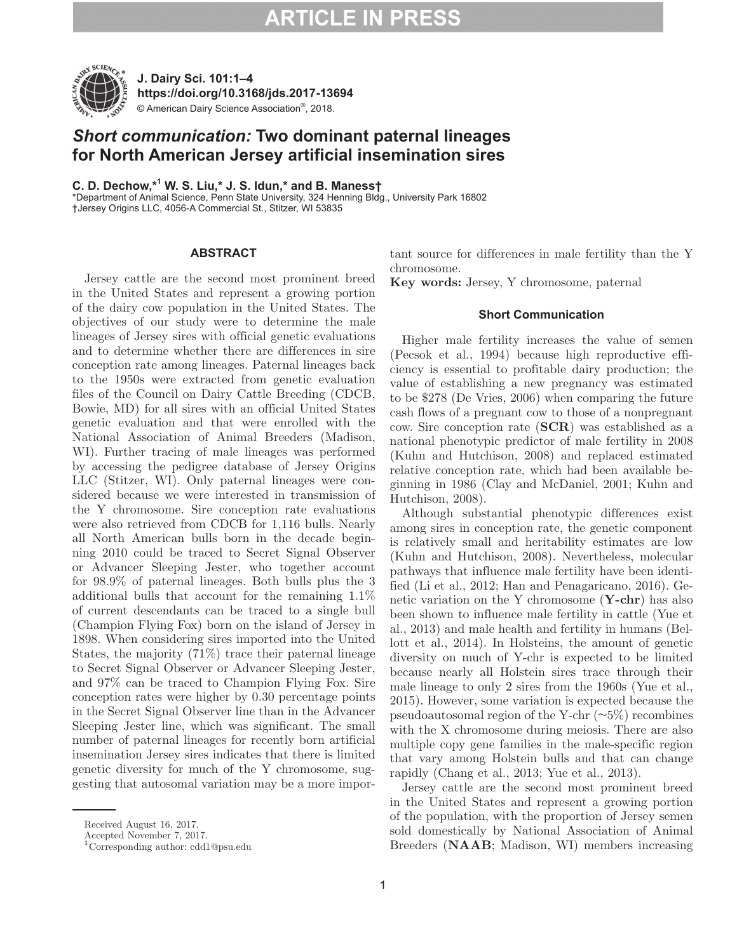# **ARTICLE IN PRESS**



**J. Dairy Sci. 101:1–4 https://doi.org/10.3168/jds.2017-13694** © American Dairy Science Association®, 2018.

## *Short communication:* **Two dominant paternal lineages for North American Jersey artificial insemination sires**

**C. D. Dechow,\*<sup>1</sup> W. S. Liu,\* J. S. Idun,\* and B. Maness†**

\*Department of Animal Science, Penn State University, 324 Henning Bldg., University Park 16802 †Jersey Origins LLC, 4056-A Commercial St., Stitzer, WI 53835

### **ABSTRACT**

Jersey cattle are the second most prominent breed in the United States and represent a growing portion of the dairy cow population in the United States. The objectives of our study were to determine the male lineages of Jersey sires with official genetic evaluations and to determine whether there are differences in sire conception rate among lineages. Paternal lineages back to the 1950s were extracted from genetic evaluation files of the Council on Dairy Cattle Breeding (CDCB, Bowie, MD) for all sires with an official United States genetic evaluation and that were enrolled with the National Association of Animal Breeders (Madison, WI). Further tracing of male lineages was performed by accessing the pedigree database of Jersey Origins LLC (Stitzer, WI). Only paternal lineages were considered because we were interested in transmission of the Y chromosome. Sire conception rate evaluations were also retrieved from CDCB for 1,116 bulls. Nearly all North American bulls born in the decade beginning 2010 could be traced to Secret Signal Observer or Advancer Sleeping Jester, who together account for 98.9% of paternal lineages. Both bulls plus the 3 additional bulls that account for the remaining 1.1% of current descendants can be traced to a single bull (Champion Flying Fox) born on the island of Jersey in 1898. When considering sires imported into the United States, the majority (71%) trace their paternal lineage to Secret Signal Observer or Advancer Sleeping Jester, and 97% can be traced to Champion Flying Fox. Sire conception rates were higher by 0.30 percentage points in the Secret Signal Observer line than in the Advancer Sleeping Jester line, which was significant. The small number of paternal lineages for recently born artificial insemination Jersey sires indicates that there is limited genetic diversity for much of the Y chromosome, suggesting that autosomal variation may be a more important source for differences in male fertility than the Y chromosome.

**Key words:** Jersey, Y chromosome, paternal

#### **Short Communication**

Higher male fertility increases the value of semen (Pecsok et al., 1994) because high reproductive efficiency is essential to profitable dairy production; the value of establishing a new pregnancy was estimated to be \$278 (De Vries, 2006) when comparing the future cash flows of a pregnant cow to those of a nonpregnant cow. Sire conception rate (**SCR**) was established as a national phenotypic predictor of male fertility in 2008 (Kuhn and Hutchison, 2008) and replaced estimated relative conception rate, which had been available beginning in 1986 (Clay and McDaniel, 2001; Kuhn and Hutchison, 2008).

Although substantial phenotypic differences exist among sires in conception rate, the genetic component is relatively small and heritability estimates are low (Kuhn and Hutchison, 2008). Nevertheless, molecular pathways that influence male fertility have been identified (Li et al., 2012; Han and Penagaricano, 2016). Genetic variation on the Y chromosome (**Y-chr**) has also been shown to influence male fertility in cattle (Yue et al., 2013) and male health and fertility in humans (Bellott et al., 2014). In Holsteins, the amount of genetic diversity on much of Y-chr is expected to be limited because nearly all Holstein sires trace through their male lineage to only 2 sires from the 1960s (Yue et al., 2015). However, some variation is expected because the pseudoautosomal region of the Y-chr  $(\sim 5\%)$  recombines with the X chromosome during meiosis. There are also multiple copy gene families in the male-specific region that vary among Holstein bulls and that can change rapidly (Chang et al., 2013; Yue et al., 2013).

Jersey cattle are the second most prominent breed in the United States and represent a growing portion of the population, with the proportion of Jersey semen sold domestically by National Association of Animal Breeders (**NAAB**; Madison, WI) members increasing

Received August 16, 2017.

Accepted November 7, 2017.

**<sup>1</sup>**Corresponding author: cdd1@psu.edu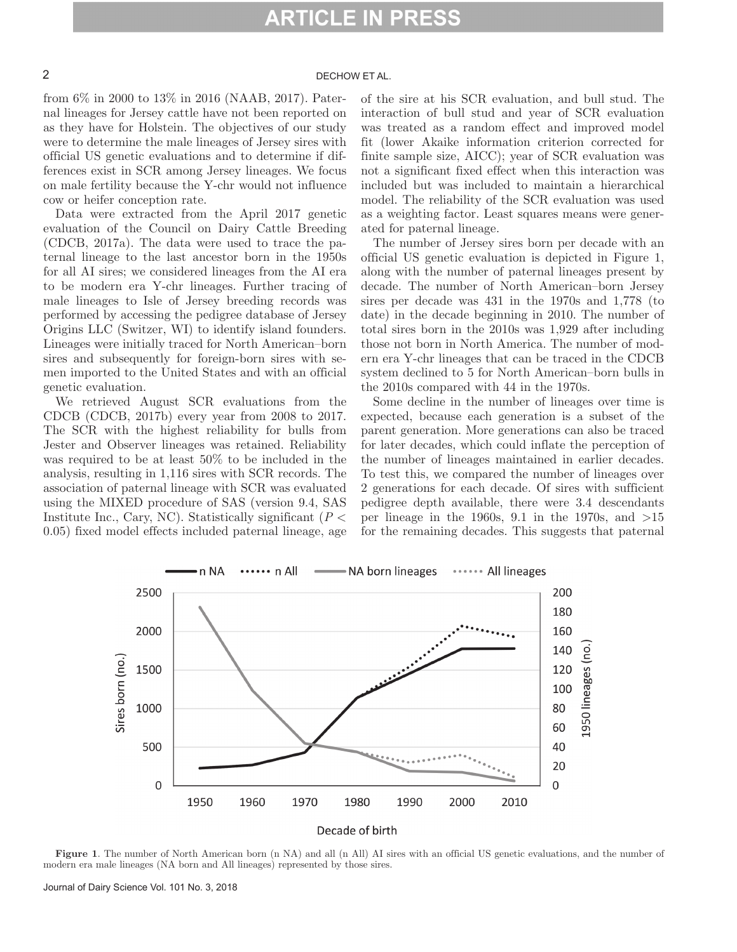### 2

from 6% in 2000 to 13% in 2016 (NAAB, 2017). Paternal lineages for Jersey cattle have not been reported on as they have for Holstein. The objectives of our study were to determine the male lineages of Jersey sires with official US genetic evaluations and to determine if differences exist in SCR among Jersey lineages. We focus on male fertility because the Y-chr would not influence cow or heifer conception rate.

Data were extracted from the April 2017 genetic evaluation of the Council on Dairy Cattle Breeding (CDCB, 2017a). The data were used to trace the paternal lineage to the last ancestor born in the 1950s for all AI sires; we considered lineages from the AI era to be modern era Y-chr lineages. Further tracing of male lineages to Isle of Jersey breeding records was performed by accessing the pedigree database of Jersey Origins LLC (Switzer, WI) to identify island founders. Lineages were initially traced for North American–born sires and subsequently for foreign-born sires with semen imported to the United States and with an official genetic evaluation.

We retrieved August SCR evaluations from the CDCB (CDCB, 2017b) every year from 2008 to 2017. The SCR with the highest reliability for bulls from Jester and Observer lineages was retained. Reliability was required to be at least 50% to be included in the analysis, resulting in 1,116 sires with SCR records. The association of paternal lineage with SCR was evaluated using the MIXED procedure of SAS (version 9.4, SAS Institute Inc., Cary, NC). Statistically significant (*P* < 0.05) fixed model effects included paternal lineage, age

of the sire at his SCR evaluation, and bull stud. The interaction of bull stud and year of SCR evaluation was treated as a random effect and improved model fit (lower Akaike information criterion corrected for finite sample size, AICC); year of SCR evaluation was not a significant fixed effect when this interaction was included but was included to maintain a hierarchical model. The reliability of the SCR evaluation was used as a weighting factor. Least squares means were generated for paternal lineage.

The number of Jersey sires born per decade with an official US genetic evaluation is depicted in Figure 1, along with the number of paternal lineages present by decade. The number of North American–born Jersey sires per decade was 431 in the 1970s and 1,778 (to date) in the decade beginning in 2010. The number of total sires born in the 2010s was 1,929 after including those not born in North America. The number of modern era Y-chr lineages that can be traced in the CDCB system declined to 5 for North American–born bulls in the 2010s compared with 44 in the 1970s.

Some decline in the number of lineages over time is expected, because each generation is a subset of the parent generation. More generations can also be traced for later decades, which could inflate the perception of the number of lineages maintained in earlier decades. To test this, we compared the number of lineages over 2 generations for each decade. Of sires with sufficient pedigree depth available, there were 3.4 descendants per lineage in the 1960s, 9.1 in the 1970s, and  $>15$ for the remaining decades. This suggests that paternal



**Figure 1**. The number of North American born (n NA) and all (n All) AI sires with an official US genetic evaluations, and the number of modern era male lineages (NA born and All lineages) represented by those sires.